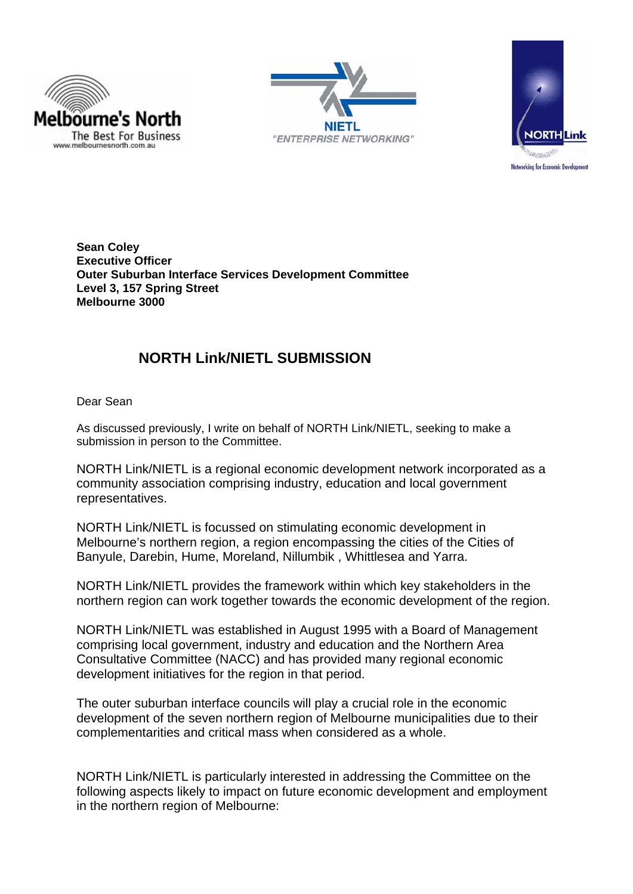





**Sean Coley Executive Officer Outer Suburban Interface Services Development Committee Level 3, 157 Spring Street Melbourne 3000** 

## **NORTH Link/NIETL SUBMISSION**

Dear Sean

As discussed previously, I write on behalf of NORTH Link/NIETL, seeking to make a submission in person to the Committee.

NORTH Link/NIETL is a regional economic development network incorporated as a community association comprising industry, education and local government representatives.

NORTH Link/NIETL is focussed on stimulating economic development in Melbourne's northern region, a region encompassing the cities of the Cities of Banyule, Darebin, Hume, Moreland, Nillumbik , Whittlesea and Yarra.

NORTH Link/NIETL provides the framework within which key stakeholders in the northern region can work together towards the economic development of the region.

NORTH Link/NIETL was established in August 1995 with a Board of Management comprising local government, industry and education and the Northern Area Consultative Committee (NACC) and has provided many regional economic development initiatives for the region in that period.

The outer suburban interface councils will play a crucial role in the economic development of the seven northern region of Melbourne municipalities due to their complementarities and critical mass when considered as a whole.

NORTH Link/NIETL is particularly interested in addressing the Committee on the following aspects likely to impact on future economic development and employment in the northern region of Melbourne: